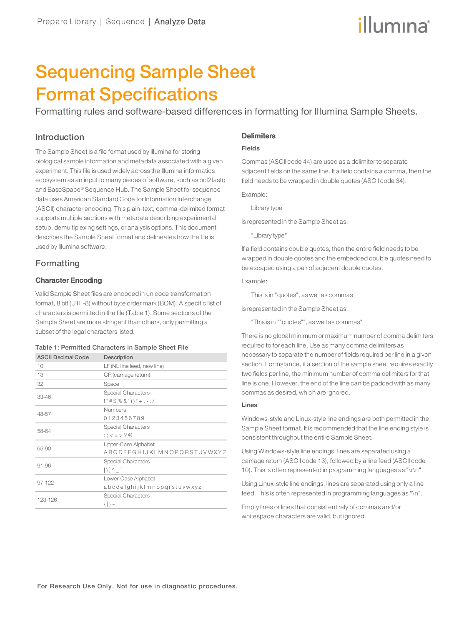# illumina®

# Sequencing Sample Sheet Format Specifications

Formatting rules and software-based differences in formatting for Illumina Sample Sheets.

## Introduction

The Sample Sheet is a file format used by Illumina for storing biological sample information and metadata associated with a given experiment. This file is used widely across the Illumina informatics ecosystem as an input to many pieces of software, such as bcl2fastq and BaseSpace® Sequence Hub. The Sample Sheet for sequence data uses American Standard Code for Information Interchange (ASCII) character encoding. This plain-text, comma-delimited format supports multiple sections with metadata describing experimental setup, demultiplexing settings, or analysis options. This document describes the Sample Sheet format and delineates how the file is used by Illumina software.

# Formatting

## Character Encoding

Valid Sample Sheet files are encoded in unicode transformation format, 8 bit (UTF-8) without byte order mark (BOM). A specific list of characters is permitted in the file (Table 1). Some sections of the Sample Sheet are more stringent than others, only permitting a subset of the legal characters listed.

#### Table 1: Permitted Characters in Sample Sheet File

| <b>ASCII Decimal Code</b> | Description                         |
|---------------------------|-------------------------------------|
| 10                        | LF (NL line feed, new line)         |
| 13                        | CR (carriage return)                |
| 32                        | Space                               |
| $33 - 46$                 | <b>Special Characters</b>           |
|                           | $!$ "#\$%&'()*+,-./                 |
| 48-57                     | <b>Numbers</b>                      |
|                           | 0123456789                          |
| 58-64                     | Special Characters                  |
|                           | :: $\lt$ = > ? $\oslash$            |
| 65-90                     | Upper-Case Alphabet                 |
|                           | <b>ABCDEFGHIJKLMNOPQRSTUVWXYZ</b>   |
| $91 - 96$                 | <b>Special Characters</b>           |
|                           | $\lceil \cdot \rceil \wedge \rceil$ |
| $97 - 122$                | Lower-Case Alphabet                 |
|                           | abcdefghijklmnopgrstuvwxyz          |
| 123-126                   | <b>Special Characters</b>           |
|                           | $\{  \}$ ~                          |

# **Delimiters**

## **Fields**

Commas (ASCII code 44) are used as a delimiter to separate adjacent fields on the same line. If a field contains a comma, then the field needs to be wrapped in double quotes (ASCII code 34).

Example:

Library type

is represented in the Sample Sheet as:

"Library type"

If a field contains double quotes, then the entire field needs to be wrapped in double quotes and the embedded double quotes need to be escaped using a pair of adjacent double quotes.

Example:

This is in "quotes", as well as commas

is represented in the Sample Sheet as:

"This is in ""quotes"", as well as commas"

There is no global minimum or maximum number of comma delimiters required to for each line. Use as many comma delimiters as necessary to separate the number of fields required per line in a given section. For instance, if a section of the sample sheet requires exactly two fields per line, the minimum number of comma delimiters for that line is one. However, the end of the line can be padded with as many commas as desired, which are ignored.

#### **Lines**

Windows-style and Linux-style line endings are both permitted in the Sample Sheet format. It is recommended that the line ending style is consistent throughout the entire Sample Sheet.

Using Windows-style line endings, lines are separated using a carriage return (ASCII code 13), followed by a line feed (ASCII code 10). This is often represented in programming languages as "\r\n".

Using Linux-style line endings, lines are separated using only a line feed. This is often represented in programming languages as "\n".

Empty lines or lines that consist entirely of commas and/or whitespace characters are valid, but ignored.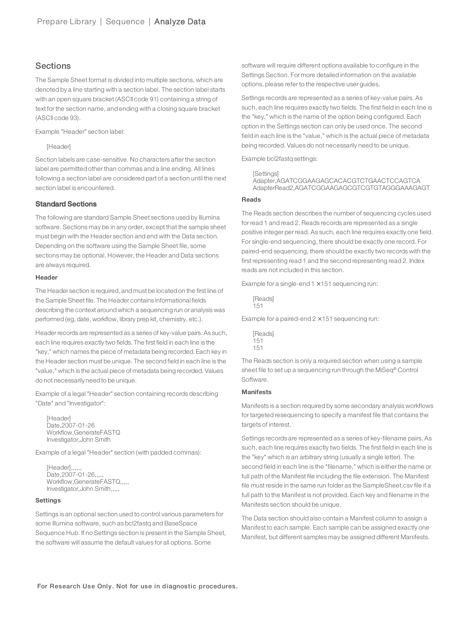## **Sections**

The Sample Sheet format is divided into multiple sections, which are denoted by a line starting with a section label. The section label starts with an open square bracket (ASCII code 91) containing a string of text for the section name, and ending with a closing square bracket (ASCII code 93).

Example "Header" section label:

#### [Header]

Section labels are case-sensitive. No characters after the section label are permitted other than commas and a line ending. All lines following a section label are considered part of a section until the next section label is encountered.

### Standard Sections

The following are standard Sample Sheet sections used by Illumina software. Sections may be in any order, except that the sample sheet must begin with the Header section and end with the Data section. Depending on the software using the Sample Sheet file, some sections may be optional. However, the Header and Data sections are always required.

#### **Header**

The Header section is required, and must be located on the first line of the Sample Sheet file. The Header contains informational fields describing the context around which a sequencing run or analysis was performed (eg, date, workflow, library prep kit, chemistry, etc.).

Headerrecords are represented as a series of key-value pairs. As such, each line requires exactly two fields. The first field in each line is the "key," which names the piece of metadata being recorded. Each key in the Header section must be unique. The second field in each line is the "value," which is the actual piece of metadata being recorded. Values do not necessarily need to be unique.

Example of a legal "Header" section containing records describing "Date" and "Investigator":

[Header] Date,2007-01-26 Workflow,GenerateFASTQ Investigator,John Smith

Example of a legal "Header" section (with padded commas):

[Header],,,,,, Date,2007-01-26,,,,, Workflow,GenerateFASTQ,,,,, Investigator,John Smith,,,,,

#### **Settings**

Settings is an optional section used to control various parameters for some Illumina software, such as bcl2fastq and BaseSpace Sequence Hub. If no Settings section is present in the Sample Sheet, the software will assume the default values for all options. Some

software will require different options available to configure in the Settings Section. For more detailed information on the available options, please refer to the respective user guides.

Settings records are represented as a series of key-value pairs. As such, each line requires exactly two fields. The first field in each line is the "key," which is the name of the option being configured. Each option in the Settings section can only be used once. The second field in each line is the "value," which is the actual piece of metadata being recorded. Values do not necessarily need to be unique.

Example bcl2fastq settings:

```
[Settings]
```

```
Adapter,AGATCGGAAGAGCACACGTCTGAACTCCAGTCA
AdapterRead2,AGATCGGAAGAGCGTCGTGTAGGGAAAGAGT
```
#### **Reads**

The Reads section describes the number of sequencing cycles used for read 1 and read 2. Reads records are represented as a single positive integer per read. As such, each line requires exactly one field. For single-end sequencing, there should be exactly one record. For paired-end sequencing, there should be exactly two records with the first representing read 1 and the second representing read 2. Index reads are not included in this section.

Example for a single-end  $1 \times 151$  sequencing run:

[Reads] 151

Example for a paired-end  $2 \times 151$  sequencing run:

[Reads] 151 151

The Reads section is only a required section when using a sample sheet file to set up a sequencing run through the MiSeq® Control Software.

### **Manifests**

Manifests is a section required by some secondary analysis workflows for targeted resequencing to specify a manifest file that contains the targets of interest.

Settings records are represented as a series of key-filename pairs. As such, each line requires exactly two fields. The first field in each line is the "key" which is an arbitrary string (usually a single letter). The second field in each line is the "filename," which is either the name or full path of the Manifest file including the file extension. The Manifest file must reside in the same run folder as the SampleSheet.csv file if a full path to the Manifest is not provided. Each key and filename in the Manifests section should be unique.

The Data section should also contain a Manifest column to assign a Manifest to each sample. Each sample can be assigned exactly one Manifest, but different samples may be assigned different Manifests.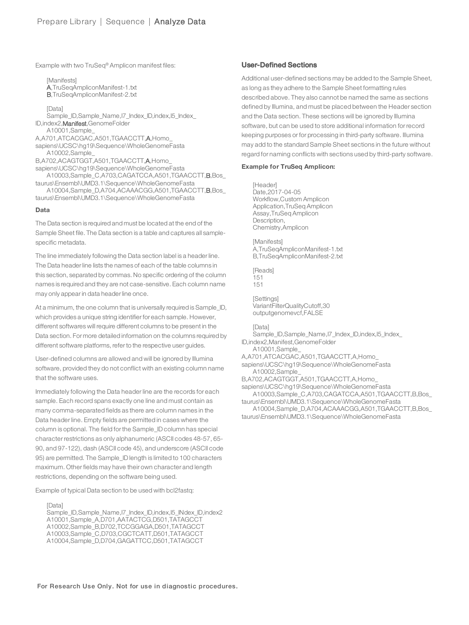Example with two TruSeq<sup>®</sup> Amplicon manifest files:

[Manifests] A,TruSeqAmpliconManifest-1.txt B,TruSeqAmpliconManifest-2.txt

[Data] Sample\_ID,Sample\_Name,I7\_Index\_ID,index,I5\_Index\_ ID,index2,Manifest,GenomeFolder A10001,Sample\_ A,A701,ATCACGAC,A501,TGAACCTT,A,Homo\_ sapiens\UCSC\hg19\Sequence\WholeGenomeFasta A10002,Sample\_ B,A702,ACAGTGGT,A501,TGAACCTT,A,Homo\_ sapiens\UCSC\hg19\Sequence\WholeGenomeFasta A10003,Sample\_C,A703,CAGATCCA,A501,TGAACCTT,B,Bos\_ taurus\Ensembl\UMD3.1\Sequence\WholeGenomeFasta A10004,Sample\_D,A704,ACAAACGG,A501,TGAACCTT,B,Bos\_ taurus\Ensembl\UMD3.1\Sequence\WholeGenomeFasta

#### **Data**

The Data section is required and must be located at the end of the Sample Sheet file. The Data section is a table and captures all samplespecific metadata.

The line immediately following the Data section label is a headerline. The Data header line lists the names of each of the table columns in this section, separated by commas. No specific ordering of the column names is required and they are not case-sensitive. Each column name may only appearin data headerline once.

At a minimum, the one column that is universally required is Sample\_ID, which provides a unique string identifier for each sample. However, different softwares will require different columns to be present in the Data section. For more detailed information on the columns required by different software platforms, referto the respective user guides.

User-defined columns are allowed and will be ignored by Illumina software, provided they do not conflict with an existing column name that the software uses.

Immediately following the Data header line are the records for each sample. Each record spans exactly one line and must contain as many comma-separated fields as there are column names in the Data header line. Empty fields are permitted in cases where the column is optional. The field for the Sample\_ID column has special character restrictions as only alphanumeric (ASCII codes 48-57, 65- 90, and 97-122), dash (ASCII code 45), and underscore (ASCII code 95) are permitted. The Sample ID length is limited to 100 characters maximum. Other fields may have their own character and length restrictions, depending on the software being used.

Example of typical Data section to be used with bcl2fastq:

#### [Data]

Sample\_ID,Sample\_Name,I7\_Index\_ID,index,I5\_INdex\_ID,index2 A10001,Sample\_A,D701,AATACTCG,D501,TATAGCCT A10002,Sample\_B,D702,TCCGGAGA,D501,TATAGCCT A10003,Sample\_C,D703,CGCTCATT,D501,TATAGCCT A10004,Sample\_D,D704,GAGATTCC,D501,TATAGCCT

#### User-Defined Sections

Additional user-defined sections may be added to the Sample Sheet, as long as they adhere to the Sample Sheet formatting rules described above. They also cannot be named the same as sections defined by Illumina, and must be placed between the Header section and the Data section. These sections will be ignored by Illumina software, but can be used to store additional information for record keeping purposes or for processing in third-party software. Illumina may add to the standard Sample Sheet sections in the future without regard for naming conflicts with sections used by third-party software.

#### **Example for TruSeq Amplicon:**

[Header] Date,2017-04-05 Workflow,Custom Amplicon Application,TruSeq Amplicon Assay,TruSeq Amplicon Description, Chemistry,Amplicon

**[Manifests]** A,TruSeqAmpliconManifest-1.txt B,TruSeqAmpliconManifest-2.txt

[Reads] 151 151

[Settings] VariantFilterQualityCutoff,30 outputgenomevcf,FALSE

#### [Data]

Sample\_ID,Sample\_Name,I7\_Index\_ID,index,I5\_Index\_

ID,index2,Manifest,GenomeFolder

A10001,Sample\_

A,A701,ATCACGAC,A501,TGAACCTT,A,Homo\_

sapiens\UCSC\hg19\Sequence\WholeGenomeFasta A10002,Sample\_

B,A702,ACAGTGGT,A501,TGAACCTT,A,Homo\_

sapiens\UCSC\hg19\Sequence\WholeGenomeFasta A10003,Sample\_C,A703,CAGATCCA,A501,TGAACCTT,B,Bos\_

taurus\Ensembl\UMD3.1\Sequence\WholeGenomeFasta A10004,Sample\_D,A704,ACAAACGG,A501,TGAACCTT,B,Bos\_

taurus\Ensembl\UMD3.1\Sequence\WholeGenomeFasta